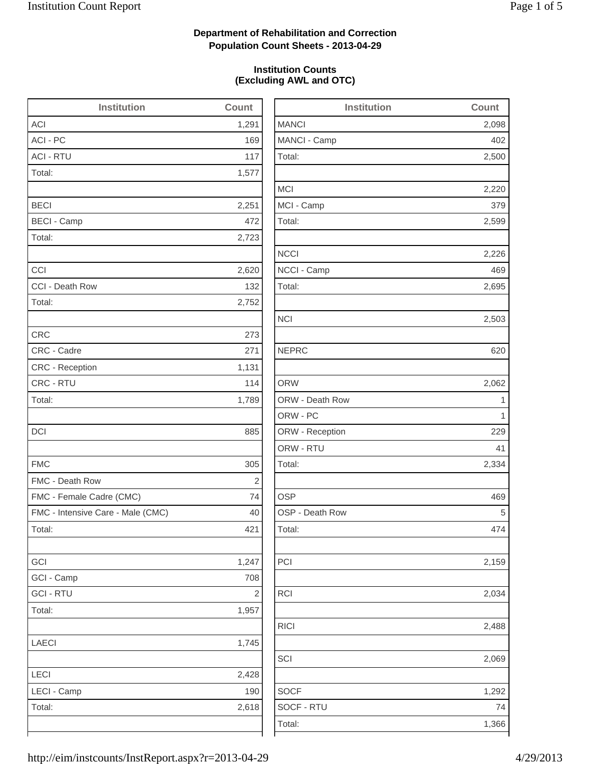### **Department of Rehabilitation and Correction Population Count Sheets - 2013-04-29**

### **Institution Counts (Excluding AWL and OTC)**

| <b>Institution</b>                | <b>Count</b> |              |
|-----------------------------------|--------------|--------------|
| <b>ACI</b>                        | 1,291        | <b>MANCI</b> |
| ACI - PC                          | 169          | MANCI-       |
| <b>ACI - RTU</b>                  | 117          | Total:       |
| Total:                            | 1,577        |              |
|                                   |              | <b>MCI</b>   |
| <b>BECI</b>                       | 2,251        | MCI-Ca       |
| <b>BECI - Camp</b>                | 472          | Total:       |
| Total:                            | 2,723        |              |
|                                   |              | <b>NCCI</b>  |
| CCI                               | 2,620        | NCCI-C       |
| CCI - Death Row                   | 132          | Total:       |
| Total:                            | 2,752        |              |
|                                   |              | <b>NCI</b>   |
| <b>CRC</b>                        | 273          |              |
| CRC - Cadre                       | 271          | <b>NEPRC</b> |
| <b>CRC</b> - Reception            | 1,131        |              |
| CRC - RTU                         | 114          | <b>ORW</b>   |
| Total:                            | 1,789        | ORW-D        |
|                                   |              | ORW - F      |
| <b>DCI</b>                        | 885          | ORW - F      |
|                                   |              | ORW - F      |
| <b>FMC</b>                        | 305          | Total:       |
| FMC - Death Row                   | 2            |              |
| FMC - Female Cadre (CMC)          | 74           | <b>OSP</b>   |
| FMC - Intensive Care - Male (CMC) | 40           | OSP-D        |
| Total:                            | 421          | Total:       |
|                                   |              |              |
| GCI                               | 1,247        | PCI          |
| GCI - Camp                        | 708          |              |
| <b>GCI - RTU</b>                  | 2            | <b>RCI</b>   |
| Total:                            | 1,957        |              |
|                                   |              | <b>RICI</b>  |
| <b>LAECI</b>                      | 1,745        |              |
|                                   |              | SCI          |
| <b>LECI</b>                       | 2,428        |              |
| LECI - Camp                       | 190          | <b>SOCF</b>  |
| Total:                            | 2,618        | SOCF-        |
|                                   |              | Total:       |

| <b>Institution</b> | <b>Count</b> |
|--------------------|--------------|
| <b>MANCI</b>       | 2,098        |
| MANCI - Camp       | 402          |
| Total:             | 2,500        |
| <b>MCI</b>         | 2,220        |
| MCI - Camp         | 379          |
| Total:             | 2,599        |
| <b>NCCI</b>        | 2,226        |
| NCCI - Camp        | 469          |
| Total:             | 2,695        |
| <b>NCI</b>         | 2,503        |
| <b>NEPRC</b>       | 620          |
| <b>ORW</b>         | 2,062        |
| ORW - Death Row    | 1            |
| ORW - PC           | 1            |
| ORW - Reception    | 229          |
| ORW - RTU          | 41           |
| Total:             | 2,334        |
| <b>OSP</b>         | 469          |
| OSP - Death Row    | 5            |
| Total:             | 474          |
| PCI                | 2,159        |
| RCI                | 2,034        |
| <b>RICI</b>        | 2,488        |
| SCI                | 2,069        |
| <b>SOCF</b>        | 1,292        |
| SOCF - RTU         | 74           |
| Total:             | 1,366        |
|                    |              |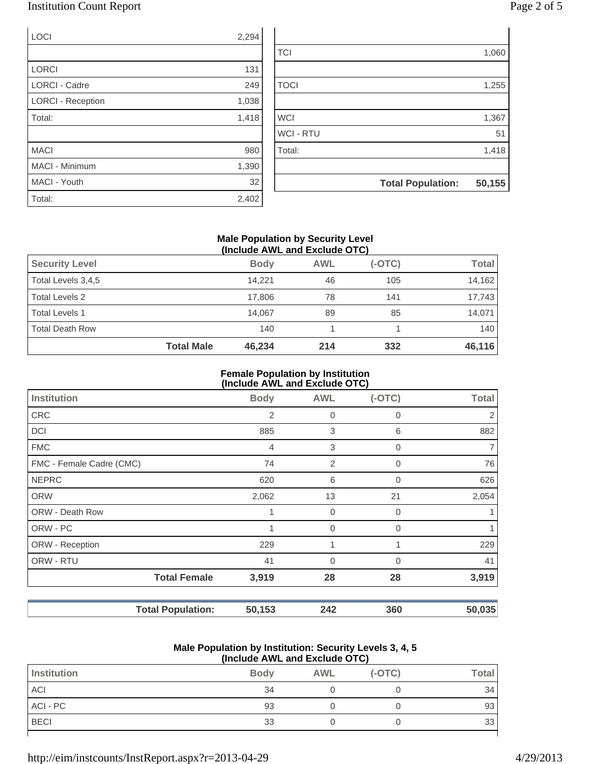### Institution Count Report Page 2 of 5

| LOCI                     | 2,294 |    |
|--------------------------|-------|----|
|                          |       | T) |
| <b>LORCI</b>             | 131   |    |
| <b>LORCI - Cadre</b>     | 249   | T( |
| <b>LORCI - Reception</b> | 1,038 |    |
| Total:                   | 1,418 | W  |
|                          |       | W  |
| <b>MACI</b>              | 980   | T) |
| MACI - Minimum           | 1,390 |    |

| LOCI                     | 2,294 |             |                          |        |
|--------------------------|-------|-------------|--------------------------|--------|
|                          |       | <b>TCI</b>  |                          | 1,060  |
| <b>LORCI</b>             | 131   |             |                          |        |
| <b>LORCI - Cadre</b>     | 249   | <b>TOCI</b> |                          | 1,255  |
| <b>LORCI - Reception</b> | 1,038 |             |                          |        |
| Total:                   | 1,418 | <b>WCI</b>  |                          | 1,367  |
|                          |       | WCI - RTU   |                          | 51     |
| <b>MACI</b>              | 980   | Total:      |                          | 1,418  |
| MACI - Minimum           | 1,390 |             |                          |        |
| MACI - Youth             | 32    |             | <b>Total Population:</b> | 50,155 |
| Total:                   | 2,402 |             |                          |        |

### **Male Population by Security Level (Include AWL and Exclude OTC)**

|                        | <b>Total Male</b><br>46,234 | 214        | 332      | 46,116       |
|------------------------|-----------------------------|------------|----------|--------------|
| <b>Total Death Row</b> | 140                         |            |          | 140          |
| <b>Total Levels 1</b>  | 14.067                      | 89         | 85       | 14,071       |
| <b>Total Levels 2</b>  | 17.806                      | 78         | 141      | 17.743       |
| Total Levels 3,4,5     | 14.221                      | 46         | 105      | 14,162       |
| <b>Security Level</b>  | <b>Body</b>                 | <b>AWL</b> | $(-OTC)$ | <b>Total</b> |
|                        |                             |            |          |              |

#### **Female Population by Institution (Include AWL and Exclude OTC)**

| <b>Institution</b>       |                          | <b>Body</b>    | <b>AWL</b>     | $(-OTC)$    | Total  |
|--------------------------|--------------------------|----------------|----------------|-------------|--------|
| <b>CRC</b>               |                          | $\overline{2}$ | 0              | 0           | 2      |
| <b>DCI</b>               |                          | 885            | 3              | 6           | 882    |
| <b>FMC</b>               |                          | $\overline{4}$ | 3              | $\mathbf 0$ | 7      |
| FMC - Female Cadre (CMC) |                          | 74             | $\overline{2}$ | $\mathbf 0$ | 76     |
| <b>NEPRC</b>             |                          | 620            | 6              | $\Omega$    | 626    |
| <b>ORW</b>               |                          | 2,062          | 13             | 21          | 2,054  |
| <b>ORW - Death Row</b>   |                          | 1              | 0              | $\mathbf 0$ |        |
| ORW - PC                 |                          |                | $\overline{0}$ | $\Omega$    |        |
| ORW - Reception          |                          | 229            | 1              |             | 229    |
| ORW - RTU                |                          | 41             | 0              | $\mathbf 0$ | 41     |
|                          | <b>Total Female</b>      | 3,919          | 28             | 28          | 3,919  |
|                          | <b>Total Population:</b> | 50,153         | 242            | 360         | 50,035 |

#### **Male Population by Institution: Security Levels 3, 4, 5 (Include AWL and Exclude OTC)**

| \''''''''''''''''''' Exvitut -''''' |             |            |          |              |  |
|-------------------------------------|-------------|------------|----------|--------------|--|
| Institution                         | <b>Body</b> | <b>AWL</b> | $(-OTC)$ | <b>Total</b> |  |
| ACI                                 | 34          |            |          | 34           |  |
| ACI - PC                            | 93          |            |          | 93           |  |
| <b>BECI</b>                         | 33          |            |          | 33           |  |
|                                     |             |            |          |              |  |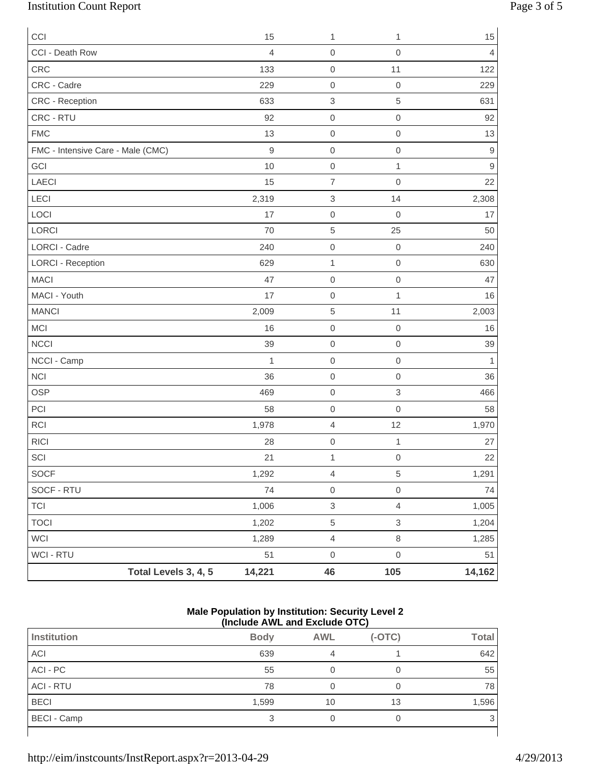## Institution Count Report Page 3 of 5

| CCI                               |                      | 15          | $\mathbf{1}$              | 1                   | 15                |
|-----------------------------------|----------------------|-------------|---------------------------|---------------------|-------------------|
| CCI - Death Row                   |                      | 4           | $\mathbf 0$               | $\mathsf{O}\xspace$ | $\overline{4}$    |
| CRC                               |                      | 133         | $\mathbf 0$               | 11                  | 122               |
| CRC - Cadre                       |                      | 229         | $\mathbf 0$               | $\mathbf 0$         | 229               |
| CRC - Reception                   |                      | 633         | $\,$ 3 $\,$               | 5                   | 631               |
| CRC - RTU                         |                      | 92          | $\mathbf 0$               | $\mathsf{O}\xspace$ | 92                |
| <b>FMC</b>                        |                      | 13          | $\mathbf 0$               | $\mathsf{O}\xspace$ | 13                |
| FMC - Intensive Care - Male (CMC) |                      | $\mathsf 9$ | $\mathbf 0$               | $\mathbf 0$         | $\boldsymbol{9}$  |
| GCI                               |                      | 10          | $\mathbf 0$               | $\mathbf{1}$        | $\boldsymbol{9}$  |
| LAECI                             |                      | 15          | $\overline{7}$            | $\mathsf{O}\xspace$ | 22                |
| LECI                              |                      | 2,319       | $\,$ 3 $\,$               | 14                  | 2,308             |
| LOCI                              |                      | 17          | $\mathbf 0$               | $\mathbf 0$         | 17                |
| LORCI                             |                      | 70          | 5                         | 25                  | 50                |
| <b>LORCI - Cadre</b>              |                      | 240         | $\mathbf 0$               | $\,0\,$             | 240               |
| <b>LORCI - Reception</b>          |                      | 629         | $\mathbf 1$               | $\mathsf{O}\xspace$ | 630               |
| <b>MACI</b>                       |                      | 47          | $\mathbf 0$               | $\mathsf{O}\xspace$ | 47                |
| MACI - Youth                      |                      | 17          | $\mathbf 0$               | $\mathbf{1}$        | 16                |
| <b>MANCI</b>                      |                      | 2,009       | 5                         | 11                  | 2,003             |
| <b>MCI</b>                        |                      | 16          | $\mathbf 0$               | $\,0\,$             | 16                |
| <b>NCCI</b>                       |                      | 39          | $\mathsf 0$               | $\mathsf{O}\xspace$ | 39                |
| NCCI - Camp                       |                      | 1           | $\mathsf 0$               | $\mathsf{O}\xspace$ | $\mathbf{1}$      |
| <b>NCI</b>                        |                      | 36          | $\mathbf 0$               | $\mathsf{O}\xspace$ | 36                |
| <b>OSP</b>                        |                      | 469         | $\mathsf{O}\xspace$       | $\,$ 3 $\,$         | 466               |
| PCI                               |                      | 58          | $\mathsf 0$               | $\mathbf 0$         | 58                |
| <b>RCI</b>                        |                      | 1,978       | $\overline{4}$            | 12                  | 1,970             |
| <b>RICI</b>                       |                      | 28          | $\mathbf 0$               | $\mathbf{1}$        | 27                |
| $\ensuremath{\mathsf{SCI}}$       |                      | 21          | $\mathbf{1}$              | $\mathsf{O}\xspace$ | $22 \overline{)}$ |
| SOCF                              |                      | 1,292       | $\overline{4}$            | 5                   | 1,291             |
| SOCF - RTU                        |                      | 74          | $\mathsf{O}\xspace$       | $\mathsf{O}\xspace$ | 74                |
| <b>TCI</b>                        |                      | 1,006       | $\ensuremath{\mathsf{3}}$ | $\overline{4}$      | 1,005             |
| <b>TOCI</b>                       |                      | 1,202       | $\,$ 5 $\,$               | $\,$ 3 $\,$         | 1,204             |
| WCI                               |                      | 1,289       | $\overline{4}$            | $\,8\,$             | 1,285             |
| WCI - RTU                         |                      | 51          | $\mathsf{O}\xspace$       | $\mathsf{O}\xspace$ | 51                |
|                                   | Total Levels 3, 4, 5 | 14,221      | 46                        | 105                 | 14,162            |

#### **Male Population by Institution: Security Level 2 (Include AWL and Exclude OTC)**

| Institution      | <b>Body</b> | <b>AWL</b> | $(-OTC)$ | <b>Total</b> |  |  |
|------------------|-------------|------------|----------|--------------|--|--|
| ACI              | 639         | 4          |          | 642          |  |  |
| ACI - PC         | 55          |            |          | 55           |  |  |
| <b>ACI - RTU</b> | 78          |            |          | 78           |  |  |
| <b>BECI</b>      | 1,599       | 10         | 13       | 1,596        |  |  |
| BECI - Camp      |             |            |          | 3            |  |  |
|                  |             |            |          |              |  |  |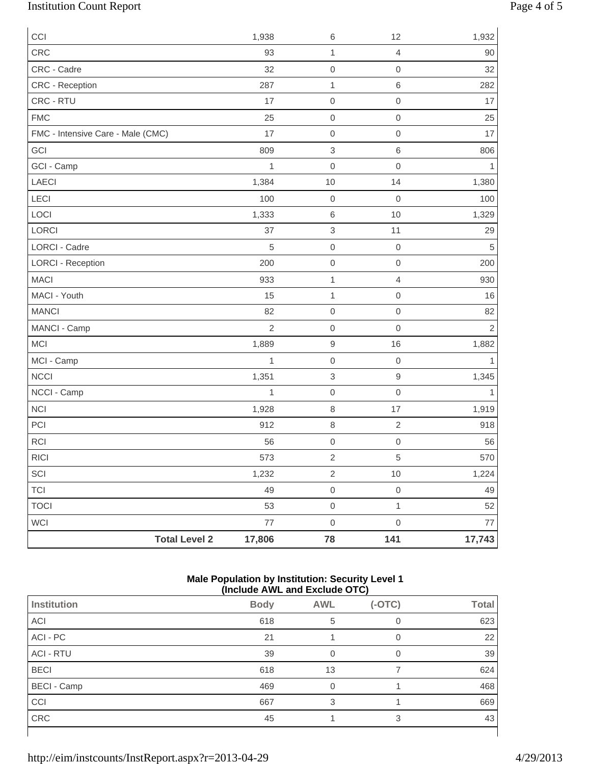## Institution Count Report Page 4 of 5

| CCI                               |                      | 1,938          | $\,6\,$                   | 12               | 1,932          |
|-----------------------------------|----------------------|----------------|---------------------------|------------------|----------------|
| CRC                               |                      | 93             | $\mathbf{1}$              | $\overline{4}$   | 90             |
| CRC - Cadre                       |                      | 32             | $\mathbf 0$               | $\mathbf 0$      | 32             |
| CRC - Reception                   |                      | 287            | $\mathbf{1}$              | 6                | 282            |
| CRC - RTU                         |                      | 17             | $\boldsymbol{0}$          | $\mathbf 0$      | 17             |
| <b>FMC</b>                        |                      | 25             | $\boldsymbol{0}$          | $\mathbf 0$      | 25             |
| FMC - Intensive Care - Male (CMC) |                      | 17             | $\boldsymbol{0}$          | $\mathbf 0$      | 17             |
| GCI                               |                      | 809            | $\,$ 3 $\,$               | 6                | 806            |
| GCI - Camp                        |                      | 1              | $\boldsymbol{0}$          | $\mathbf 0$      | 1              |
| LAECI                             |                      | 1,384          | $10$                      | 14               | 1,380          |
| LECI                              |                      | 100            | $\mbox{O}$                | $\mathbf 0$      | 100            |
| LOCI                              |                      | 1,333          | $\,6$                     | 10               | 1,329          |
| LORCI                             |                      | 37             | $\ensuremath{\mathsf{3}}$ | 11               | 29             |
| <b>LORCI - Cadre</b>              |                      | $\sqrt{5}$     | $\boldsymbol{0}$          | $\boldsymbol{0}$ | $\sqrt{5}$     |
| <b>LORCI - Reception</b>          |                      | 200            | $\mbox{O}$                | $\mathbf 0$      | 200            |
| <b>MACI</b>                       |                      | 933            | $\mathbf 1$               | $\overline{4}$   | 930            |
| MACI - Youth                      |                      | 15             | $\mathbf{1}$              | $\mathbf 0$      | 16             |
| <b>MANCI</b>                      |                      | 82             | $\mbox{O}$                | $\mbox{O}$       | 82             |
| MANCI - Camp                      |                      | $\overline{2}$ | $\boldsymbol{0}$          | $\mathbf 0$      | $\overline{c}$ |
| MCI                               |                      | 1,889          | $\hbox{9}$                | 16               | 1,882          |
| MCI - Camp                        |                      | $\mathbf{1}$   | $\mbox{O}$                | $\boldsymbol{0}$ | $\mathbf{1}$   |
| <b>NCCI</b>                       |                      | 1,351          | $\ensuremath{\mathsf{3}}$ | $\overline{9}$   | 1,345          |
| NCCI - Camp                       |                      | $\mathbf{1}$   | $\mbox{O}$                | $\mbox{O}$       | 1              |
| <b>NCI</b>                        |                      | 1,928          | $\,8\,$                   | 17               | 1,919          |
| PCI                               |                      | 912            | $\,8\,$                   | $\sqrt{2}$       | 918            |
| <b>RCI</b>                        |                      | 56             | $\mbox{O}$                | $\mathbf 0$      | 56             |
| RICI                              |                      | 573            | $\sqrt{2}$                | 5                | 570            |
| SCI                               |                      | 1,232          | $\sqrt{2}$                | $10$             | 1,224          |
| <b>TCI</b>                        |                      | 49             | $\mathsf{O}\xspace$       | $\mathbf 0$      | 49             |
| <b>TOCI</b>                       |                      | 53             | $\mathsf{O}\xspace$       | $\mathbf{1}$     | 52             |
| WCI                               |                      | $77\,$         | $\mbox{O}$                | $\mbox{O}$       | 77             |
|                                   | <b>Total Level 2</b> | 17,806         | 78                        | 141              | 17,743         |

#### **Male Population by Institution: Security Level 1 (Include AWL and Exclude OTC)**

|                    |             | .              |          |              |
|--------------------|-------------|----------------|----------|--------------|
| Institution        | <b>Body</b> | <b>AWL</b>     | $(-OTC)$ | <b>Total</b> |
| ACI                | 618         | 5              |          | 623          |
| ACI - PC           | 21          |                | 0        | 22           |
| <b>ACI - RTU</b>   | 39          | $\overline{0}$ | 0        | 39           |
| <b>BECI</b>        | 618         | 13             |          | 624          |
| <b>BECI</b> - Camp | 469         | 0              |          | 468          |
| CCI                | 667         | 3              |          | 669          |
| CRC                | 45          |                | 3        | 43           |
|                    |             |                |          |              |